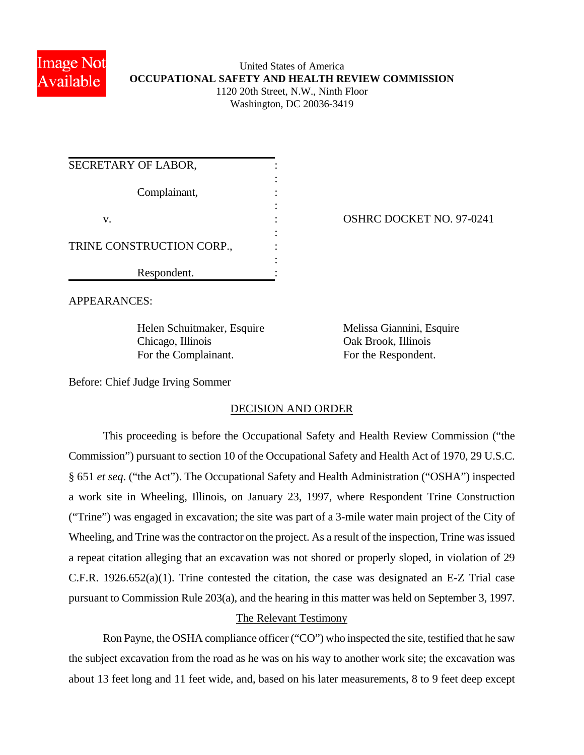

### United States of America **OCCUPATIONAL SAFETY AND HEALTH REVIEW COMMISSION** 1120 20th Street, N.W., Ninth Floor Washington, DC 20036-3419

| SECRETARY OF LABOR,       |  |
|---------------------------|--|
| Complainant,              |  |
| v.                        |  |
| TRINE CONSTRUCTION CORP., |  |
| Respondent.               |  |

OSHRC DOCKET NO. 97-0241

APPEARANCES:

Helen Schuitmaker, Esquire Melissa Giannini, Esquire Chicago, Illinois Oak Brook, Illinois For the Complainant. For the Respondent.

Before: Chief Judge Irving Sommer

## DECISION AND ORDER

This proceeding is before the Occupational Safety and Health Review Commission ("the Commission") pursuant to section 10 of the Occupational Safety and Health Act of 1970, 29 U.S.C. § 651 *et seq*. ("the Act"). The Occupational Safety and Health Administration ("OSHA") inspected a work site in Wheeling, Illinois, on January 23, 1997, where Respondent Trine Construction ("Trine") was engaged in excavation; the site was part of a 3-mile water main project of the City of Wheeling, and Trine was the contractor on the project. As a result of the inspection, Trine was issued a repeat citation alleging that an excavation was not shored or properly sloped, in violation of 29 C.F.R. 1926.652(a)(1). Trine contested the citation, the case was designated an E-Z Trial case pursuant to Commission Rule 203(a), and the hearing in this matter was held on September 3, 1997.

## The Relevant Testimony

Ron Payne, the OSHA compliance officer ("CO") who inspected the site, testified that he saw the subject excavation from the road as he was on his way to another work site; the excavation was about 13 feet long and 11 feet wide, and, based on his later measurements, 8 to 9 feet deep except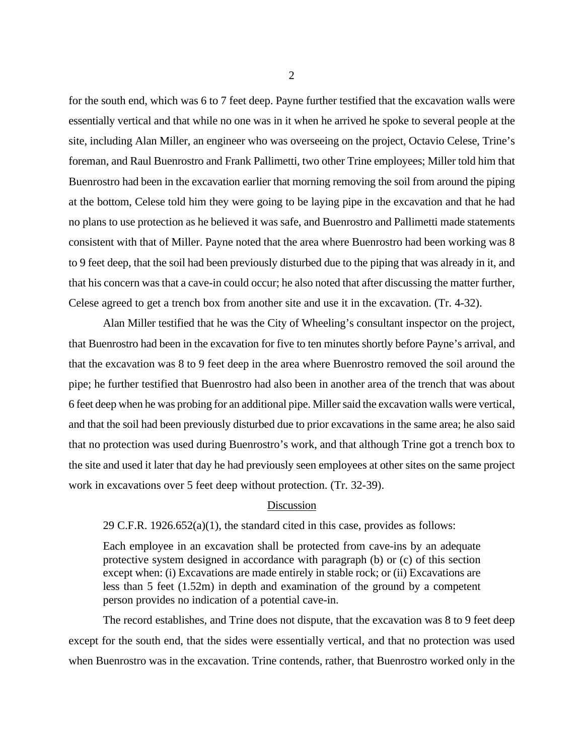for the south end, which was 6 to 7 feet deep. Payne further testified that the excavation walls were essentially vertical and that while no one was in it when he arrived he spoke to several people at the site, including Alan Miller, an engineer who was overseeing on the project, Octavio Celese, Trine's foreman, and Raul Buenrostro and Frank Pallimetti, two other Trine employees; Miller told him that Buenrostro had been in the excavation earlier that morning removing the soil from around the piping at the bottom, Celese told him they were going to be laying pipe in the excavation and that he had no plans to use protection as he believed it was safe, and Buenrostro and Pallimetti made statements consistent with that of Miller. Payne noted that the area where Buenrostro had been working was 8 to 9 feet deep, that the soil had been previously disturbed due to the piping that was already in it, and that his concern was that a cave-in could occur; he also noted that after discussing the matter further, Celese agreed to get a trench box from another site and use it in the excavation. (Tr. 4-32).

Alan Miller testified that he was the City of Wheeling's consultant inspector on the project, that Buenrostro had been in the excavation for five to ten minutes shortly before Payne's arrival, and that the excavation was 8 to 9 feet deep in the area where Buenrostro removed the soil around the pipe; he further testified that Buenrostro had also been in another area of the trench that was about 6 feet deep when he was probing for an additional pipe. Miller said the excavation walls were vertical, and that the soil had been previously disturbed due to prior excavations in the same area; he also said that no protection was used during Buenrostro's work, and that although Trine got a trench box to the site and used it later that day he had previously seen employees at other sites on the same project work in excavations over 5 feet deep without protection. (Tr. 32-39).

#### **Discussion**

29 C.F.R. 1926.652(a)(1), the standard cited in this case, provides as follows:

Each employee in an excavation shall be protected from cave-ins by an adequate protective system designed in accordance with paragraph (b) or (c) of this section except when: (i) Excavations are made entirely in stable rock; or (ii) Excavations are less than 5 feet (1.52m) in depth and examination of the ground by a competent person provides no indication of a potential cave-in.

The record establishes, and Trine does not dispute, that the excavation was 8 to 9 feet deep except for the south end, that the sides were essentially vertical, and that no protection was used when Buenrostro was in the excavation. Trine contends, rather, that Buenrostro worked only in the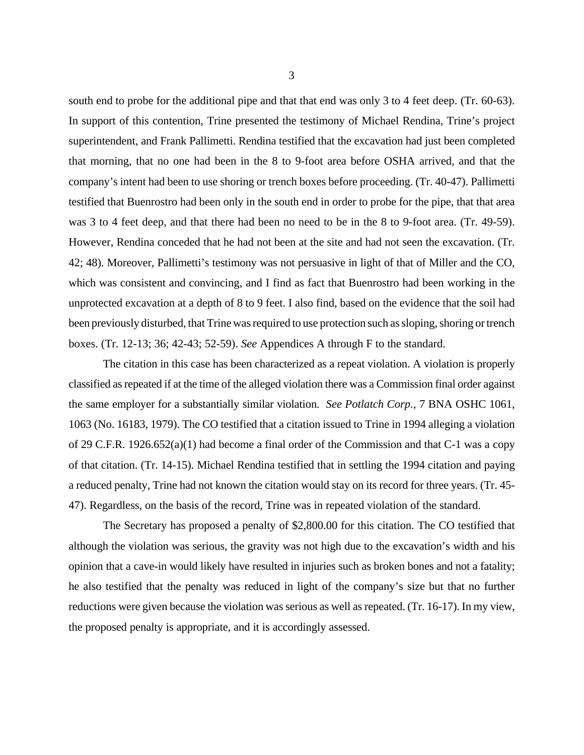south end to probe for the additional pipe and that that end was only 3 to 4 feet deep. (Tr. 60-63). In support of this contention, Trine presented the testimony of Michael Rendina, Trine's project superintendent, and Frank Pallimetti. Rendina testified that the excavation had just been completed that morning, that no one had been in the 8 to 9-foot area before OSHA arrived, and that the company's intent had been to use shoring or trench boxes before proceeding. (Tr. 40-47). Pallimetti testified that Buenrostro had been only in the south end in order to probe for the pipe, that that area was 3 to 4 feet deep, and that there had been no need to be in the 8 to 9-foot area. (Tr. 49-59). However, Rendina conceded that he had not been at the site and had not seen the excavation. (Tr. 42; 48). Moreover, Pallimetti's testimony was not persuasive in light of that of Miller and the CO, which was consistent and convincing, and I find as fact that Buenrostro had been working in the unprotected excavation at a depth of 8 to 9 feet. I also find, based on the evidence that the soil had been previously disturbed, that Trine was required to use protection such as sloping, shoring or trench boxes. (Tr. 12-13; 36; 42-43; 52-59). *See* Appendices A through F to the standard.

The citation in this case has been characterized as a repeat violation. A violation is properly classified as repeated if at the time of the alleged violation there was a Commission final order against the same employer for a substantially similar violation. *See Potlatch Corp.*, 7 BNA OSHC 1061, 1063 (No. 16183, 1979). The CO testified that a citation issued to Trine in 1994 alleging a violation of 29 C.F.R. 1926.652(a)(1) had become a final order of the Commission and that C-1 was a copy of that citation. (Tr. 14-15). Michael Rendina testified that in settling the 1994 citation and paying a reduced penalty, Trine had not known the citation would stay on its record for three years. (Tr. 45- 47). Regardless, on the basis of the record, Trine was in repeated violation of the standard.

The Secretary has proposed a penalty of \$2,800.00 for this citation. The CO testified that although the violation was serious, the gravity was not high due to the excavation's width and his opinion that a cave-in would likely have resulted in injuries such as broken bones and not a fatality; he also testified that the penalty was reduced in light of the company's size but that no further reductions were given because the violation was serious as well as repeated. (Tr. 16-17). In my view, the proposed penalty is appropriate, and it is accordingly assessed.